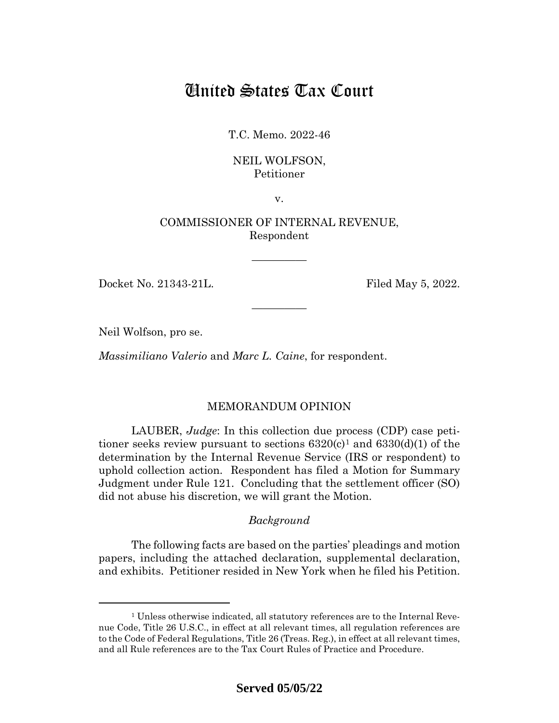# United States Tax Court

T.C. Memo. 2022-46

### NEIL WOLFSON, Petitioner

v.

## COMMISSIONER OF INTERNAL REVENUE, Respondent

—————

—————

Docket No. 21343-21L. Filed May 5, 2022.

Neil Wolfson, pro se.

*Massimiliano Valerio* and *Marc L. Caine*, for respondent.

## MEMORANDUM OPINION

LAUBER, *Judge*: In this collection due process (CDP) case petitioner seeks review pursuant to sections  $6320(c)^1$  $6320(c)^1$  and  $6330(d)(1)$  of the determination by the Internal Revenue Service (IRS or respondent) to uphold collection action. Respondent has filed a Motion for Summary Judgment under Rule 121. Concluding that the settlement officer (SO) did not abuse his discretion, we will grant the Motion.

## *Background*

The following facts are based on the parties' pleadings and motion papers, including the attached declaration, supplemental declaration, and exhibits. Petitioner resided in New York when he filed his Petition.

<span id="page-0-0"></span><sup>&</sup>lt;sup>1</sup> Unless otherwise indicated, all statutory references are to the Internal Revenue Code, Title 26 U.S.C., in effect at all relevant times, all regulation references are to the Code of Federal Regulations, Title 26 (Treas. Reg.), in effect at all relevant times, and all Rule references are to the Tax Court Rules of Practice and Procedure.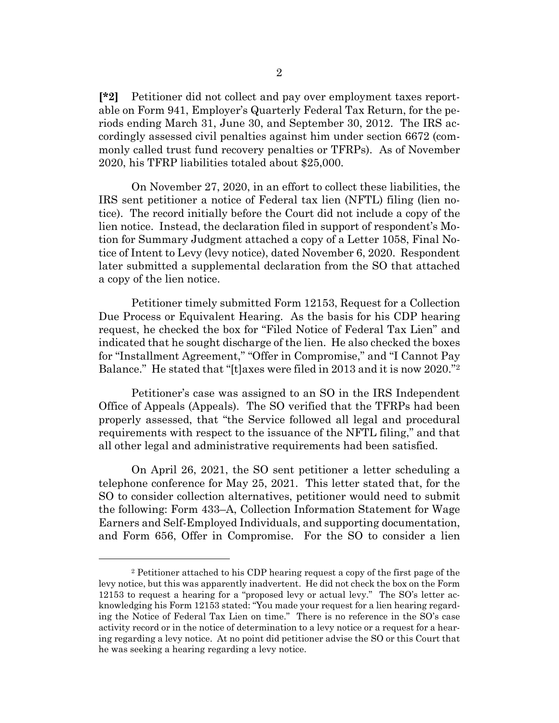**[\*2]** Petitioner did not collect and pay over employment taxes reportable on Form 941, Employer's Quarterly Federal Tax Return, for the periods ending March 31, June 30, and September 30, 2012. The IRS accordingly assessed civil penalties against him under section 6672 (commonly called trust fund recovery penalties or TFRPs). As of November 2020, his TFRP liabilities totaled about \$25,000.

On November 27, 2020, in an effort to collect these liabilities, the IRS sent petitioner a notice of Federal tax lien (NFTL) filing (lien notice). The record initially before the Court did not include a copy of the lien notice. Instead, the declaration filed in support of respondent's Motion for Summary Judgment attached a copy of a Letter 1058, Final Notice of Intent to Levy (levy notice), dated November 6, 2020. Respondent later submitted a supplemental declaration from the SO that attached a copy of the lien notice.

Petitioner timely submitted Form 12153, Request for a Collection Due Process or Equivalent Hearing. As the basis for his CDP hearing request, he checked the box for "Filed Notice of Federal Tax Lien" and indicated that he sought discharge of the lien. He also checked the boxes for "Installment Agreement," "Offer in Compromise," and "I Cannot Pay Balance." He stated that "[t]axes were filed in 2013 and it is now 2020."[2](#page-1-0)

Petitioner's case was assigned to an SO in the IRS Independent Office of Appeals (Appeals). The SO verified that the TFRPs had been properly assessed, that "the Service followed all legal and procedural requirements with respect to the issuance of the NFTL filing," and that all other legal and administrative requirements had been satisfied.

On April 26, 2021, the SO sent petitioner a letter scheduling a telephone conference for May 25, 2021. This letter stated that, for the SO to consider collection alternatives, petitioner would need to submit the following: Form 433–A, Collection Information Statement for Wage Earners and Self-Employed Individuals, and supporting documentation, and Form 656, Offer in Compromise. For the SO to consider a lien

<span id="page-1-0"></span><sup>2</sup> Petitioner attached to his CDP hearing request a copy of the first page of the levy notice, but this was apparently inadvertent. He did not check the box on the Form 12153 to request a hearing for a "proposed levy or actual levy." The SO's letter acknowledging his Form 12153 stated: "You made your request for a lien hearing regarding the Notice of Federal Tax Lien on time." There is no reference in the SO's case activity record or in the notice of determination to a levy notice or a request for a hearing regarding a levy notice. At no point did petitioner advise the SO or this Court that he was seeking a hearing regarding a levy notice.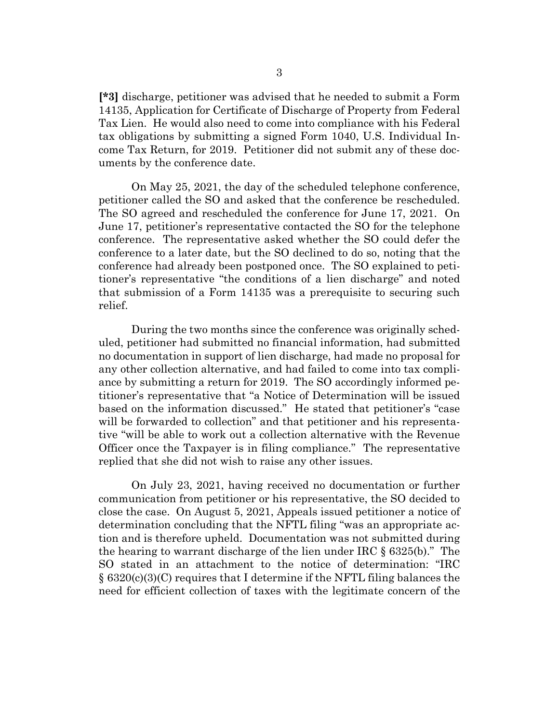**[\*3]** discharge, petitioner was advised that he needed to submit a Form 14135, Application for Certificate of Discharge of Property from Federal Tax Lien. He would also need to come into compliance with his Federal tax obligations by submitting a signed Form 1040, U.S. Individual Income Tax Return, for 2019. Petitioner did not submit any of these documents by the conference date.

On May 25, 2021, the day of the scheduled telephone conference, petitioner called the SO and asked that the conference be rescheduled. The SO agreed and rescheduled the conference for June 17, 2021. On June 17, petitioner's representative contacted the SO for the telephone conference. The representative asked whether the SO could defer the conference to a later date, but the SO declined to do so, noting that the conference had already been postponed once. The SO explained to petitioner's representative "the conditions of a lien discharge" and noted that submission of a Form 14135 was a prerequisite to securing such relief.

During the two months since the conference was originally scheduled, petitioner had submitted no financial information, had submitted no documentation in support of lien discharge, had made no proposal for any other collection alternative, and had failed to come into tax compliance by submitting a return for 2019. The SO accordingly informed petitioner's representative that "a Notice of Determination will be issued based on the information discussed." He stated that petitioner's "case will be forwarded to collection" and that petitioner and his representative "will be able to work out a collection alternative with the Revenue Officer once the Taxpayer is in filing compliance." The representative replied that she did not wish to raise any other issues.

On July 23, 2021, having received no documentation or further communication from petitioner or his representative, the SO decided to close the case. On August 5, 2021, Appeals issued petitioner a notice of determination concluding that the NFTL filing "was an appropriate action and is therefore upheld. Documentation was not submitted during the hearing to warrant discharge of the lien under IRC § 6325(b)." The SO stated in an attachment to the notice of determination: "IRC § 6320(c)(3)(C) requires that I determine if the NFTL filing balances the need for efficient collection of taxes with the legitimate concern of the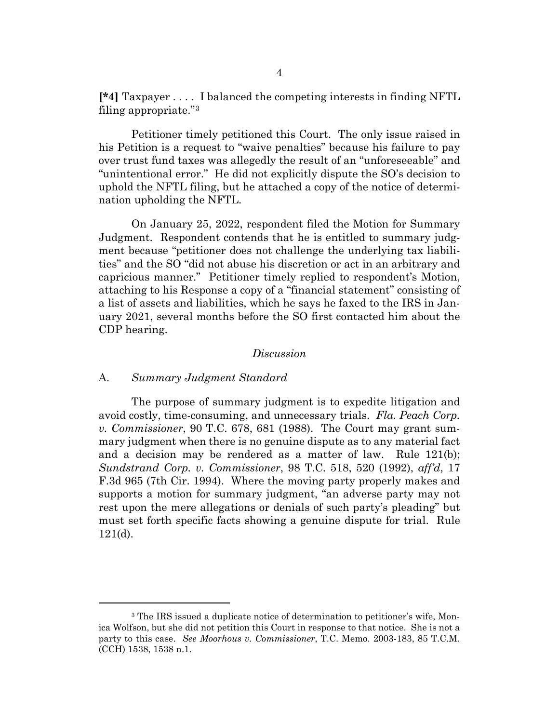**[\*4]** Taxpayer . . . . I balanced the competing interests in finding NFTL filing appropriate."[3](#page-3-0)

Petitioner timely petitioned this Court. The only issue raised in his Petition is a request to "waive penalties" because his failure to pay over trust fund taxes was allegedly the result of an "unforeseeable" and "unintentional error." He did not explicitly dispute the SO's decision to uphold the NFTL filing, but he attached a copy of the notice of determination upholding the NFTL.

On January 25, 2022, respondent filed the Motion for Summary Judgment. Respondent contends that he is entitled to summary judgment because "petitioner does not challenge the underlying tax liabilities" and the SO "did not abuse his discretion or act in an arbitrary and capricious manner." Petitioner timely replied to respondent's Motion, attaching to his Response a copy of a "financial statement" consisting of a list of assets and liabilities, which he says he faxed to the IRS in January 2021, several months before the SO first contacted him about the CDP hearing.

#### *Discussion*

#### A. *Summary Judgment Standard*

The purpose of summary judgment is to expedite litigation and avoid costly, time-consuming, and unnecessary trials. *Fla. Peach Corp. v. Commissioner*, 90 T.C. 678, 681 (1988). The Court may grant summary judgment when there is no genuine dispute as to any material fact and a decision may be rendered as a matter of law. Rule 121(b); *Sundstrand Corp. v. Commissioner*, 98 T.C. 518, 520 (1992), *aff'd*, 17 F.3d 965 (7th Cir. 1994). Where the moving party properly makes and supports a motion for summary judgment, "an adverse party may not rest upon the mere allegations or denials of such party's pleading" but must set forth specific facts showing a genuine dispute for trial. Rule 121(d).

<span id="page-3-0"></span><sup>&</sup>lt;sup>3</sup> The IRS issued a duplicate notice of determination to petitioner's wife, Monica Wolfson, but she did not petition this Court in response to that notice. She is not a party to this case. *See Moorhous v. Commissioner*, T.C. Memo. 2003-183, 85 T.C.M. (CCH) 1538, 1538 n.1.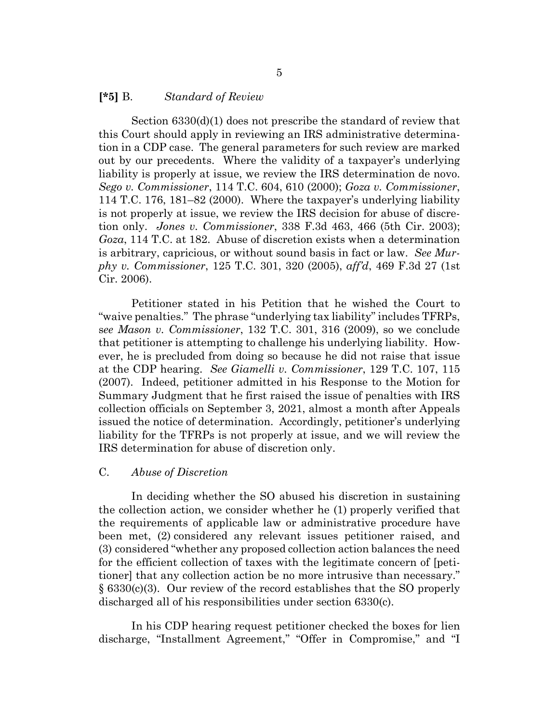#### **[\*5]** B. *Standard of Review*

Section 6330(d)(1) does not prescribe the standard of review that this Court should apply in reviewing an IRS administrative determination in a CDP case. The general parameters for such review are marked out by our precedents. Where the validity of a taxpayer's underlying liability is properly at issue, we review the IRS determination de novo. *Sego v. Commissioner*, 114 T.C. 604, 610 (2000); *Goza v. Commissioner*, 114 T.C. 176, 181–82 (2000). Where the taxpayer's underlying liability is not properly at issue, we review the IRS decision for abuse of discretion only. *Jones v. Commissioner*, 338 F.3d 463, 466 (5th Cir. 2003); *Goza*, 114 T.C. at 182. Abuse of discretion exists when a determination is arbitrary, capricious, or without sound basis in fact or law. *See Murphy v. Commissioner*, 125 T.C. 301, 320 (2005), *aff'd*, 469 F.3d 27 (1st Cir. 2006).

Petitioner stated in his Petition that he wished the Court to "waive penalties." The phrase "underlying tax liability" includes TFRPs, s*ee Mason v. Commissioner*, 132 T.C. 301, 316 (2009), so we conclude that petitioner is attempting to challenge his underlying liability. However, he is precluded from doing so because he did not raise that issue at the CDP hearing. *See Giamelli v. Commissioner*, 129 T.C. 107, 115 (2007). Indeed, petitioner admitted in his Response to the Motion for Summary Judgment that he first raised the issue of penalties with IRS collection officials on September 3, 2021, almost a month after Appeals issued the notice of determination. Accordingly, petitioner's underlying liability for the TFRPs is not properly at issue, and we will review the IRS determination for abuse of discretion only.

#### C. *Abuse of Discretion*

In deciding whether the SO abused his discretion in sustaining the collection action, we consider whether he (1) properly verified that the requirements of applicable law or administrative procedure have been met, (2) considered any relevant issues petitioner raised, and (3) considered "whether any proposed collection action balances the need for the efficient collection of taxes with the legitimate concern of [petitioner] that any collection action be no more intrusive than necessary." § 6330(c)(3). Our review of the record establishes that the SO properly discharged all of his responsibilities under section 6330(c).

In his CDP hearing request petitioner checked the boxes for lien discharge, "Installment Agreement," "Offer in Compromise," and "I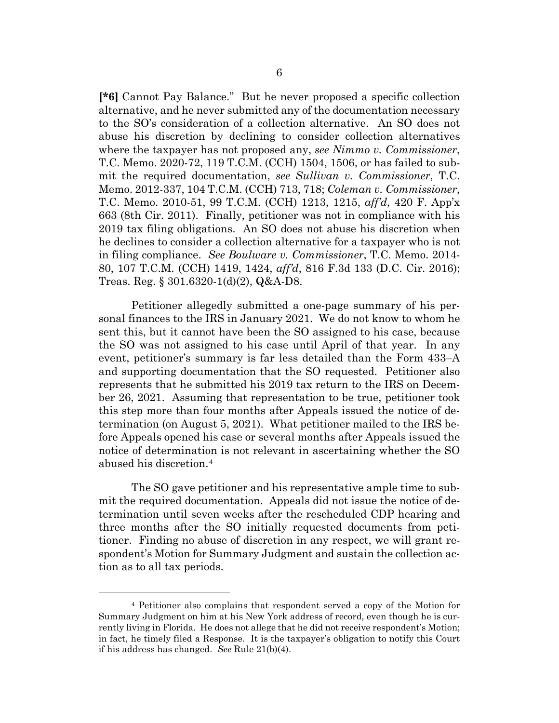**[\*6]** Cannot Pay Balance." But he never proposed a specific collection alternative, and he never submitted any of the documentation necessary to the SO's consideration of a collection alternative. An SO does not abuse his discretion by declining to consider collection alternatives where the taxpayer has not proposed any, *see Nimmo v. Commissioner*, T.C. Memo. 2020-72, 119 T.C.M. (CCH) 1504, 1506, or has failed to submit the required documentation, *see Sullivan v. Commissioner*, T.C. Memo. 2012-337, 104 T.C.M. (CCH) 713, 718; *Coleman v. Commissioner*, T.C. Memo. 2010-51, 99 T.C.M. (CCH) 1213, 1215, *aff'd*, 420 F. App'x 663 (8th Cir. 2011). Finally, petitioner was not in compliance with his 2019 tax filing obligations. An SO does not abuse his discretion when he declines to consider a collection alternative for a taxpayer who is not in filing compliance. *See Boulware v. Commissioner*, T.C. Memo. 2014- 80, 107 T.C.M. (CCH) 1419, 1424, *aff'd*, 816 F.3d 133 (D.C. Cir. 2016); Treas. Reg. § 301.6320-1(d)(2), Q&A-D8.

Petitioner allegedly submitted a one-page summary of his personal finances to the IRS in January 2021. We do not know to whom he sent this, but it cannot have been the SO assigned to his case, because the SO was not assigned to his case until April of that year. In any event, petitioner's summary is far less detailed than the Form 433–A and supporting documentation that the SO requested. Petitioner also represents that he submitted his 2019 tax return to the IRS on December 26, 2021. Assuming that representation to be true, petitioner took this step more than four months after Appeals issued the notice of determination (on August 5, 2021). What petitioner mailed to the IRS before Appeals opened his case or several months after Appeals issued the notice of determination is not relevant in ascertaining whether the SO abused his discretion.[4](#page-5-0)

The SO gave petitioner and his representative ample time to submit the required documentation. Appeals did not issue the notice of determination until seven weeks after the rescheduled CDP hearing and three months after the SO initially requested documents from petitioner. Finding no abuse of discretion in any respect, we will grant respondent's Motion for Summary Judgment and sustain the collection action as to all tax periods.

<span id="page-5-0"></span><sup>4</sup> Petitioner also complains that respondent served a copy of the Motion for Summary Judgment on him at his New York address of record, even though he is currently living in Florida. He does not allege that he did not receive respondent's Motion; in fact, he timely filed a Response. It is the taxpayer's obligation to notify this Court if his address has changed. *See* Rule 21(b)(4).